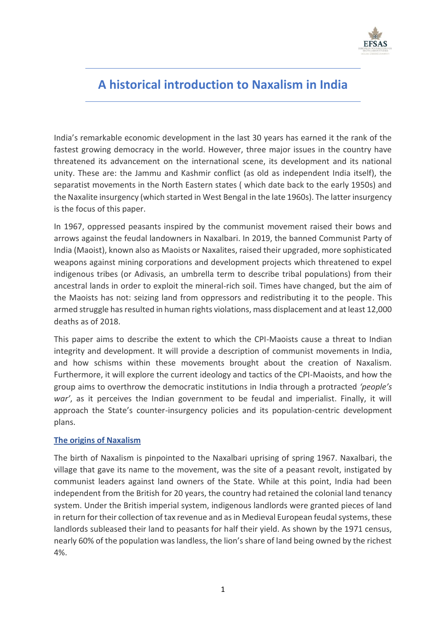

# **A historical introduction to Naxalism in India**

India's remarkable economic development in the last 30 years has earned it the rank of the fastest growing democracy in the world. However, three major issues in the country have threatened its advancement on the international scene, its development and its national unity. These are: the Jammu and Kashmir conflict (as old as independent India itself), the separatist movements in the North Eastern states ( which date back to the early 1950s) and the Naxalite insurgency (which started in West Bengal in the late 1960s). The latter insurgency is the focus of this paper.

In 1967, oppressed peasants inspired by the communist movement raised their bows and arrows against the feudal landowners in Naxalbari. In 2019, the banned Communist Party of India (Maoist), known also as Maoists or Naxalites, raised their upgraded, more sophisticated weapons against mining corporations and development projects which threatened to expel indigenous tribes (or Adivasis, an umbrella term to describe tribal populations) from their ancestral lands in order to exploit the mineral-rich soil. Times have changed, but the aim of the Maoists has not: seizing land from oppressors and redistributing it to the people. This armed struggle has resulted in human rights violations, mass displacement and at least 12,000 deaths as of 2018.

This paper aims to describe the extent to which the CPI-Maoists cause a threat to Indian integrity and development. It will provide a description of communist movements in India, and how schisms within these movements brought about the creation of Naxalism. Furthermore, it will explore the current ideology and tactics of the CPI-Maoists, and how the group aims to overthrow the democratic institutions in India through a protracted *'people's war'*, as it perceives the Indian government to be feudal and imperialist. Finally, it will approach the State's counter-insurgency policies and its population-centric development plans.

# **The origins of Naxalism**

The birth of Naxalism is pinpointed to the Naxalbari uprising of spring 1967. Naxalbari, the village that gave its name to the movement, was the site of a peasant revolt, instigated by communist leaders against land owners of the State. While at this point, India had been independent from the British for 20 years, the country had retained the colonial land tenancy system. Under the British imperial system, indigenous landlords were granted pieces of land in return for their collection of tax revenue and as in Medieval European feudal systems, these landlords subleased their land to peasants for half their yield. As shown by the 1971 census, nearly 60% of the population was landless, the lion's share of land being owned by the richest 4%.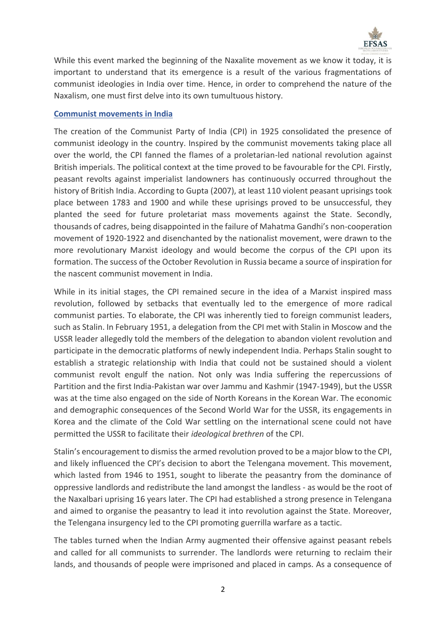

While this event marked the beginning of the Naxalite movement as we know it today, it is important to understand that its emergence is a result of the various fragmentations of communist ideologies in India over time. Hence, in order to comprehend the nature of the Naxalism, one must first delve into its own tumultuous history.

## **Communist movements in India**

The creation of the Communist Party of India (CPI) in 1925 consolidated the presence of communist ideology in the country. Inspired by the communist movements taking place all over the world, the CPI fanned the flames of a proletarian-led national revolution against British imperials. The political context at the time proved to be favourable for the CPI. Firstly, peasant revolts against imperialist landowners has continuously occurred throughout the history of British India. According to Gupta (2007), at least 110 violent peasant uprisings took place between 1783 and 1900 and while these uprisings proved to be unsuccessful, they planted the seed for future proletariat mass movements against the State. Secondly, thousands of cadres, being disappointed in the failure of Mahatma Gandhi's non-cooperation movement of 1920-1922 and disenchanted by the nationalist movement, were drawn to the more revolutionary Marxist ideology and would become the corpus of the CPI upon its formation. The success of the October Revolution in Russia became a source of inspiration for the nascent communist movement in India.

While in its initial stages, the CPI remained secure in the idea of a Marxist inspired mass revolution, followed by setbacks that eventually led to the emergence of more radical communist parties. To elaborate, the CPI was inherently tied to foreign communist leaders, such as Stalin. In February 1951, a delegation from the CPI met with Stalin in Moscow and the USSR leader allegedly told the members of the delegation to abandon violent revolution and participate in the democratic platforms of newly independent India. Perhaps Stalin sought to establish a strategic relationship with India that could not be sustained should a violent communist revolt engulf the nation. Not only was India suffering the repercussions of Partition and the first India-Pakistan war over Jammu and Kashmir (1947-1949), but the USSR was at the time also engaged on the side of North Koreans in the Korean War. The economic and demographic consequences of the Second World War for the USSR, its engagements in Korea and the climate of the Cold War settling on the international scene could not have permitted the USSR to facilitate their *ideological brethren* of the CPI.

Stalin's encouragement to dismiss the armed revolution proved to be a major blow to the CPI, and likely influenced the CPI's decision to abort the Telengana movement. This movement, which lasted from 1946 to 1951, sought to liberate the peasantry from the dominance of oppressive landlords and redistribute the land amongst the landless - as would be the root of the Naxalbari uprising 16 years later. The CPI had established a strong presence in Telengana and aimed to organise the peasantry to lead it into revolution against the State. Moreover, the Telengana insurgency led to the CPI promoting guerrilla warfare as a tactic.

The tables turned when the Indian Army augmented their offensive against peasant rebels and called for all communists to surrender. The landlords were returning to reclaim their lands, and thousands of people were imprisoned and placed in camps. As a consequence of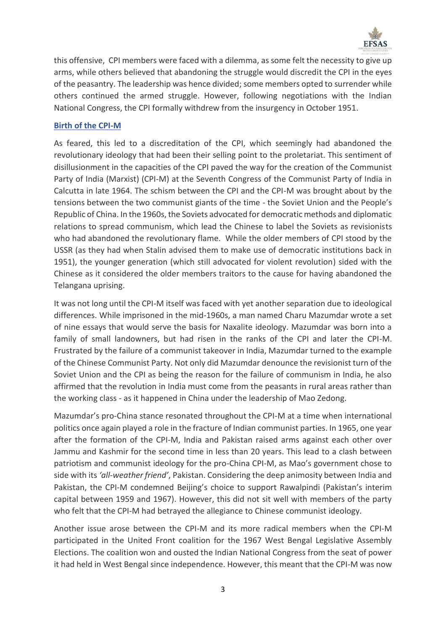

this offensive, CPI members were faced with a dilemma, as some felt the necessity to give up arms, while others believed that abandoning the struggle would discredit the CPI in the eyes of the peasantry. The leadership was hence divided; some members opted to surrender while others continued the armed struggle. However, following negotiations with the Indian National Congress, the CPI formally withdrew from the insurgency in October 1951.

# **Birth of the CPI-M**

As feared, this led to a discreditation of the CPI, which seemingly had abandoned the revolutionary ideology that had been their selling point to the proletariat. This sentiment of disillusionment in the capacities of the CPI paved the way for the creation of the Communist Party of India (Marxist) (CPI-M) at the Seventh Congress of the Communist Party of India in Calcutta in late 1964. The schism between the CPI and the CPI-M was brought about by the tensions between the two communist giants of the time - the Soviet Union and the People's Republic of China. In the 1960s, the Soviets advocated for democratic methods and diplomatic relations to spread communism, which lead the Chinese to label the Soviets as revisionists who had abandoned the revolutionary flame. While the older members of CPI stood by the USSR (as they had when Stalin advised them to make use of democratic institutions back in 1951), the younger generation (which still advocated for violent revolution) sided with the Chinese as it considered the older members traitors to the cause for having abandoned the Telangana uprising.

It was not long until the CPI-M itself was faced with yet another separation due to ideological differences. While imprisoned in the mid-1960s, a man named Charu Mazumdar wrote a set of nine essays that would serve the basis for Naxalite ideology. Mazumdar was born into a family of small landowners, but had risen in the ranks of the CPI and later the CPI-M. Frustrated by the failure of a communist takeover in India, Mazumdar turned to the example of the Chinese Communist Party. Not only did Mazumdar denounce the revisionist turn of the Soviet Union and the CPI as being the reason for the failure of communism in India, he also affirmed that the revolution in India must come from the peasants in rural areas rather than the working class - as it happened in China under the leadership of Mao Zedong.

Mazumdar's pro-China stance resonated throughout the CPI-M at a time when international politics once again played a role in the fracture of Indian communist parties. In 1965, one year after the formation of the CPI-M, India and Pakistan raised arms against each other over Jammu and Kashmir for the second time in less than 20 years. This lead to a clash between patriotism and communist ideology for the pro-China CPI-M, as Mao's government chose to side with its *'all-weather friend'*, Pakistan. Considering the deep animosity between India and Pakistan, the CPI-M condemned Beijing's choice to support Rawalpindi (Pakistan's interim capital between 1959 and 1967). However, this did not sit well with members of the party who felt that the CPI-M had betrayed the allegiance to Chinese communist ideology.

Another issue arose between the CPI-M and its more radical members when the CPI-M participated in the United Front coalition for the 1967 West Bengal Legislative Assembly Elections. The coalition won and ousted the Indian National Congress from the seat of power it had held in West Bengal since independence. However, this meant that the CPI-M was now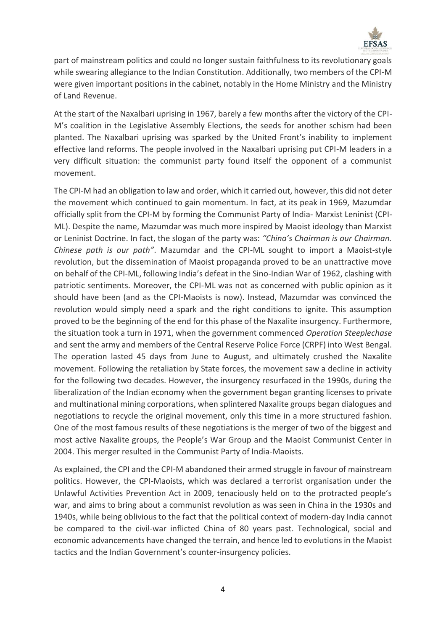

part of mainstream politics and could no longer sustain faithfulness to its revolutionary goals while swearing allegiance to the Indian Constitution. Additionally, two members of the CPI-M were given important positions in the cabinet, notably in the Home Ministry and the Ministry of Land Revenue.

At the start of the Naxalbari uprising in 1967, barely a few months after the victory of the CPI-M's coalition in the Legislative Assembly Elections, the seeds for another schism had been planted. The Naxalbari uprising was sparked by the United Front's inability to implement effective land reforms. The people involved in the Naxalbari uprising put CPI-M leaders in a very difficult situation: the communist party found itself the opponent of a communist movement.

The CPI-M had an obligation to law and order, which it carried out, however, this did not deter the movement which continued to gain momentum. In fact, at its peak in 1969, Mazumdar officially split from the CPI-M by forming the Communist Party of India- Marxist Leninist (CPI-ML). Despite the name, Mazumdar was much more inspired by Maoist ideology than Marxist or Leninist Doctrine. In fact, the slogan of the party was: *"China's Chairman is our Chairman. Chinese path is our path"*. Mazumdar and the CPI-ML sought to import a Maoist-style revolution, but the dissemination of Maoist propaganda proved to be an unattractive move on behalf of the CPI-ML, following India's defeat in the Sino-Indian War of 1962, clashing with patriotic sentiments. Moreover, the CPI-ML was not as concerned with public opinion as it should have been (and as the CPI-Maoists is now). Instead, Mazumdar was convinced the revolution would simply need a spark and the right conditions to ignite. This assumption proved to be the beginning of the end for this phase of the Naxalite insurgency. Furthermore, the situation took a turn in 1971, when the government commenced *Operation Steeplechase* and sent the army and members of the Central Reserve Police Force (CRPF) into West Bengal. The operation lasted 45 days from June to August, and ultimately crushed the Naxalite movement. Following the retaliation by State forces, the movement saw a decline in activity for the following two decades. However, the insurgency resurfaced in the 1990s, during the liberalization of the Indian economy when the government began granting licenses to private and multinational mining corporations, when splintered Naxalite groups began dialogues and negotiations to recycle the original movement, only this time in a more structured fashion. One of the most famous results of these negotiations is the merger of two of the biggest and most active Naxalite groups, the People's War Group and the Maoist Communist Center in 2004. This merger resulted in the Communist Party of India-Maoists.

As explained, the CPI and the CPI-M abandoned their armed struggle in favour of mainstream politics. However, the CPI-Maoists, which was declared a terrorist organisation under the Unlawful Activities Prevention Act in 2009, tenaciously held on to the protracted people's war, and aims to bring about a communist revolution as was seen in China in the 1930s and 1940s, while being oblivious to the fact that the political context of modern-day India cannot be compared to the civil-war inflicted China of 80 years past. Technological, social and economic advancements have changed the terrain, and hence led to evolutions in the Maoist tactics and the Indian Government's counter-insurgency policies.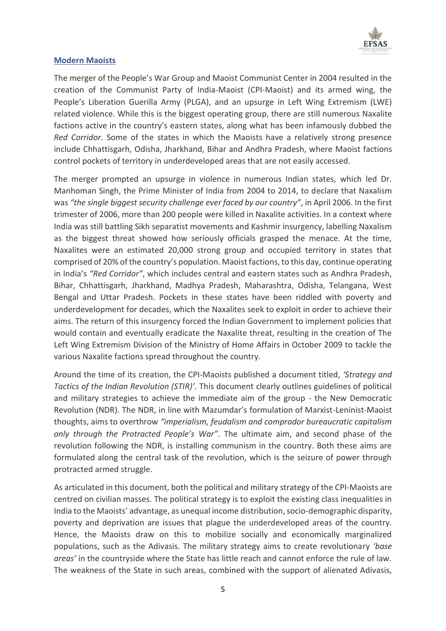

## **Modern Maoists**

The merger of the People's War Group and Maoist Communist Center in 2004 resulted in the creation of the Communist Party of India-Maoist (CPI-Maoist) and its armed wing, the People's Liberation Guerilla Army (PLGA), and an upsurge in Left Wing Extremism (LWE) related violence. While this is the biggest operating group, there are still numerous Naxalite factions active in the country's eastern states, along what has been infamously dubbed the *Red Corridor*. Some of the states in which the Maoists have a relatively strong presence include Chhattisgarh, Odisha, Jharkhand, Bihar and Andhra Pradesh, where Maoist factions control pockets of territory in underdeveloped areas that are not easily accessed.

The merger prompted an upsurge in violence in numerous Indian states, which led Dr. Manhoman Singh, the Prime Minister of India from 2004 to 2014, to declare that Naxalism was *"the single biggest security challenge ever faced by our country"*, in April 2006. In the first trimester of 2006, more than 200 people were killed in Naxalite activities. In a context where India was still battling Sikh separatist movements and Kashmir insurgency, labelling Naxalism as the biggest threat showed how seriously officials grasped the menace. At the time, Naxalites were an estimated 20,000 strong group and occupied territory in states that comprised of 20% of the country's population. Maoist factions, to this day, continue operating in India's *"Red Corridor"*, which includes central and eastern states such as Andhra Pradesh, Bihar, Chhattisgarh, Jharkhand, Madhya Pradesh, Maharashtra, Odisha, Telangana, West Bengal and Uttar Pradesh. Pockets in these states have been riddled with poverty and underdevelopment for decades, which the Naxalites seek to exploit in order to achieve their aims. The return of this insurgency forced the Indian Government to implement policies that would contain and eventually eradicate the Naxalite threat, resulting in the creation of The Left Wing Extremism Division of the Ministry of Home Affairs in October 2009 to tackle the various Naxalite factions spread throughout the country.

Around the time of its creation, the CPI-Maoists published a document titled, *'Strategy and Tactics of the Indian Revolution (STIR)'*. This document clearly outlines guidelines of political and military strategies to achieve the immediate aim of the group - the New Democratic Revolution (NDR). The NDR, in line with Mazumdar's formulation of Marxist-Leninist-Maoist thoughts, aims to overthrow *"imperialism, feudalism and comprador bureaucratic capitalism only through the Protracted People's War"*. The ultimate aim, and second phase of the revolution following the NDR, is installing communism in the country. Both these aims are formulated along the central task of the revolution, which is the seizure of power through protracted armed struggle.

As articulated in this document, both the political and military strategy of the CPI-Maoists are centred on civilian masses. The political strategy is to exploit the existing class inequalities in India to the Maoists' advantage, as unequal income distribution, socio-demographic disparity, poverty and deprivation are issues that plague the underdeveloped areas of the country. Hence, the Maoists draw on this to mobilize socially and economically marginalized populations, such as the Adivasis. The military strategy aims to create revolutionary *'base areas'* in the countryside where the State has little reach and cannot enforce the rule of law. The weakness of the State in such areas, combined with the support of alienated Adivasis,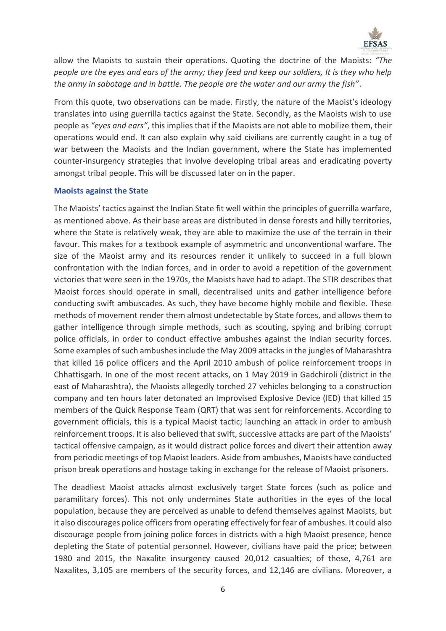

allow the Maoists to sustain their operations. Quoting the doctrine of the Maoists: *"The people are the eyes and ears of the army; they feed and keep our soldiers, It is they who help the army in sabotage and in battle. The people are the water and our army the fish"*.

From this quote, two observations can be made. Firstly, the nature of the Maoist's ideology translates into using guerrilla tactics against the State. Secondly, as the Maoists wish to use people as *"eyes and ears"*, this implies that if the Maoists are not able to mobilize them, their operations would end. It can also explain why said civilians are currently caught in a tug of war between the Maoists and the Indian government, where the State has implemented counter-insurgency strategies that involve developing tribal areas and eradicating poverty amongst tribal people. This will be discussed later on in the paper.

#### **Maoists against the State**

The Maoists' tactics against the Indian State fit well within the principles of guerrilla warfare, as mentioned above. As their base areas are distributed in dense forests and hilly territories, where the State is relatively weak, they are able to maximize the use of the terrain in their favour. This makes for a textbook example of asymmetric and unconventional warfare. The size of the Maoist army and its resources render it unlikely to succeed in a full blown confrontation with the Indian forces, and in order to avoid a repetition of the government victories that were seen in the 1970s, the Maoists have had to adapt. The STIR describes that Maoist forces should operate in small, decentralised units and gather intelligence before conducting swift ambuscades. As such, they have become highly mobile and flexible. These methods of movement render them almost undetectable by State forces, and allows them to gather intelligence through simple methods, such as scouting, spying and bribing corrupt police officials, in order to conduct effective ambushes against the Indian security forces. Some examples of such ambushes include the May 2009 attacks in the jungles of Maharashtra that killed 16 police officers and the April 2010 ambush of police reinforcement troops in Chhattisgarh. In one of the most recent attacks, on 1 May 2019 in Gadchiroli (district in the east of Maharashtra), the Maoists allegedly torched 27 vehicles belonging to a construction company and ten hours later detonated an Improvised Explosive Device (IED) that killed 15 members of the Quick Response Team (QRT) that was sent for reinforcements. According to government officials, this is a typical Maoist tactic; launching an attack in order to ambush reinforcement troops. It is also believed that swift, successive attacks are part of the Maoists' tactical offensive campaign, as it would distract police forces and divert their attention away from periodic meetings of top Maoist leaders. Aside from ambushes, Maoists have conducted prison break operations and hostage taking in exchange for the release of Maoist prisoners.

The deadliest Maoist attacks almost exclusively target State forces (such as police and paramilitary forces). This not only undermines State authorities in the eyes of the local population, because they are perceived as unable to defend themselves against Maoists, but it also discourages police officers from operating effectively for fear of ambushes. It could also discourage people from joining police forces in districts with a high Maoist presence, hence depleting the State of potential personnel. However, civilians have paid the price; between 1980 and 2015, the Naxalite insurgency caused 20,012 casualties; of these, 4,761 are Naxalites, 3,105 are members of the security forces, and 12,146 are civilians. Moreover, a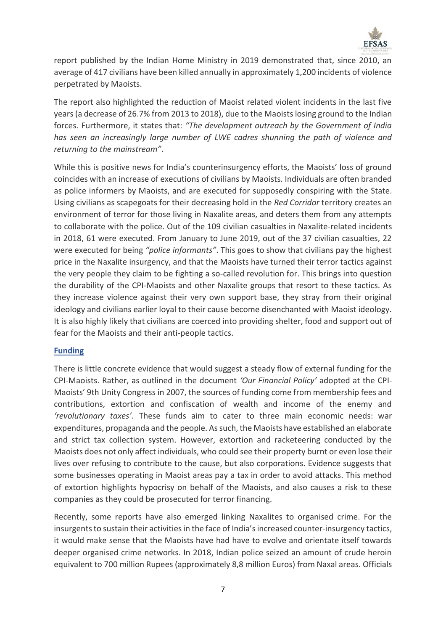

report published by the Indian Home Ministry in 2019 demonstrated that, since 2010, an average of 417 civilians have been killed annually in approximately 1,200 incidents of violence perpetrated by Maoists.

The report also highlighted the reduction of Maoist related violent incidents in the last five years (a decrease of 26.7% from 2013 to 2018), due to the Maoists losing ground to the Indian forces. Furthermore, it states that: *"The development outreach by the Government of India has seen an increasingly large number of LWE cadres shunning the path of violence and returning to the mainstream"*.

While this is positive news for India's counterinsurgency efforts, the Maoists' loss of ground coincides with an increase of executions of civilians by Maoists. Individuals are often branded as police informers by Maoists, and are executed for supposedly conspiring with the State. Using civilians as scapegoats for their decreasing hold in the *Red Corridor* territory creates an environment of terror for those living in Naxalite areas, and deters them from any attempts to collaborate with the police. Out of the 109 civilian casualties in Naxalite-related incidents in 2018, 61 were executed. From January to June 2019, out of the 37 civilian casualties, 22 were executed for being *"police informants"*. This goes to show that civilians pay the highest price in the Naxalite insurgency, and that the Maoists have turned their terror tactics against the very people they claim to be fighting a so-called revolution for. This brings into question the durability of the CPI-Maoists and other Naxalite groups that resort to these tactics. As they increase violence against their very own support base, they stray from their original ideology and civilians earlier loyal to their cause become disenchanted with Maoist ideology. It is also highly likely that civilians are coerced into providing shelter, food and support out of fear for the Maoists and their anti-people tactics.

## **Funding**

There is little concrete evidence that would suggest a steady flow of external funding for the CPI-Maoists. Rather, as outlined in the document *'Our Financial Policy'* adopted at the CPI-Maoists' 9th Unity Congress in 2007, the sources of funding come from membership fees and contributions, extortion and confiscation of wealth and income of the enemy and *'revolutionary taxes'*. These funds aim to cater to three main economic needs: war expenditures, propaganda and the people. As such, the Maoists have established an elaborate and strict tax collection system. However, extortion and racketeering conducted by the Maoists does not only affect individuals, who could see their property burnt or even lose their lives over refusing to contribute to the cause, but also corporations. Evidence suggests that some businesses operating in Maoist areas pay a tax in order to avoid attacks. This method of extortion highlights hypocrisy on behalf of the Maoists, and also causes a risk to these companies as they could be prosecuted for terror financing.

Recently, some reports have also emerged linking Naxalites to organised crime. For the insurgents to sustain their activities in the face of India's increased counter-insurgency tactics, it would make sense that the Maoists have had have to evolve and orientate itself towards deeper organised crime networks. In 2018, Indian police seized an amount of crude heroin equivalent to 700 million Rupees (approximately 8,8 million Euros) from Naxal areas. Officials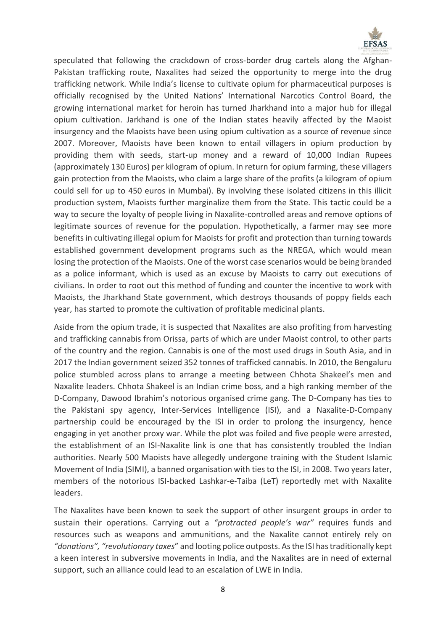

speculated that following the crackdown of cross-border drug cartels along the Afghan-Pakistan trafficking route, Naxalites had seized the opportunity to merge into the drug trafficking network. While India's license to cultivate opium for pharmaceutical purposes is officially recognised by the United Nations' International Narcotics Control Board, the growing international market for heroin has turned Jharkhand into a major hub for illegal opium cultivation. Jarkhand is one of the Indian states heavily affected by the Maoist insurgency and the Maoists have been using opium cultivation as a source of revenue since 2007. Moreover, Maoists have been known to entail villagers in opium production by providing them with seeds, start-up money and a reward of 10,000 Indian Rupees (approximately 130 Euros) per kilogram of opium. In return for opium farming, these villagers gain protection from the Maoists, who claim a large share of the profits (a kilogram of opium could sell for up to 450 euros in Mumbai). By involving these isolated citizens in this illicit production system, Maoists further marginalize them from the State. This tactic could be a way to secure the loyalty of people living in Naxalite-controlled areas and remove options of legitimate sources of revenue for the population. Hypothetically, a farmer may see more benefits in cultivating illegal opium for Maoists for profit and protection than turning towards established government development programs such as the NREGA, which would mean losing the protection of the Maoists. One of the worst case scenarios would be being branded as a police informant, which is used as an excuse by Maoists to carry out executions of civilians. In order to root out this method of funding and counter the incentive to work with Maoists, the Jharkhand State government, which destroys thousands of poppy fields each year, has started to promote the cultivation of profitable medicinal plants.

Aside from the opium trade, it is suspected that Naxalites are also profiting from harvesting and trafficking cannabis from Orissa, parts of which are under Maoist control, to other parts of the country and the region. Cannabis is one of the most used drugs in South Asia, and in 2017 the Indian government seized 352 tonnes of trafficked cannabis. In 2010, the Bengaluru police stumbled across plans to arrange a meeting between Chhota Shakeel's men and Naxalite leaders. Chhota Shakeel is an Indian crime boss, and a high ranking member of the D-Company, Dawood Ibrahim's notorious organised crime gang. The D-Company has ties to the Pakistani spy agency, Inter-Services Intelligence (ISI), and a Naxalite-D-Company partnership could be encouraged by the ISI in order to prolong the insurgency, hence engaging in yet another proxy war. While the plot was foiled and five people were arrested, the establishment of an ISI-Naxalite link is one that has consistently troubled the Indian authorities. Nearly 500 Maoists have allegedly undergone training with the Student Islamic Movement of India (SIMI), a banned organisation with ties to the ISI, in 2008. Two years later, members of the notorious ISI-backed Lashkar-e-Taiba (LeT) reportedly met with Naxalite leaders.

The Naxalites have been known to seek the support of other insurgent groups in order to sustain their operations. Carrying out a *"protracted people's war"* requires funds and resources such as weapons and ammunitions, and the Naxalite cannot entirely rely on *"donations", "revolutionary taxes*" and looting police outposts. As the ISI has traditionally kept a keen interest in subversive movements in India, and the Naxalites are in need of external support, such an alliance could lead to an escalation of LWE in India.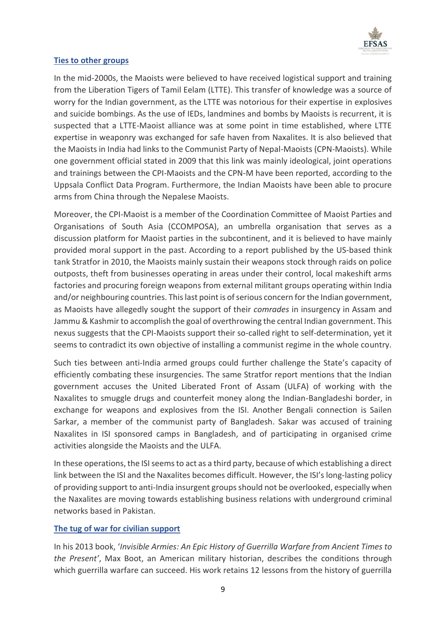

## **Ties to other groups**

In the mid-2000s, the Maoists were believed to have received logistical support and training from the Liberation Tigers of Tamil Eelam (LTTE). This transfer of knowledge was a source of worry for the Indian government, as the LTTE was notorious for their expertise in explosives and suicide bombings. As the use of IEDs, landmines and bombs by Maoists is recurrent, it is suspected that a LTTE-Maoist alliance was at some point in time established, where LTTE expertise in weaponry was exchanged for safe haven from Naxalites. It is also believed that the Maoists in India had links to the Communist Party of Nepal-Maoists (CPN-Maoists). While one government official stated in 2009 that this link was mainly ideological, joint operations and trainings between the CPI-Maoists and the CPN-M have been reported, according to the Uppsala Conflict Data Program. Furthermore, the Indian Maoists have been able to procure arms from China through the Nepalese Maoists.

Moreover, the CPI-Maoist is a member of the Coordination Committee of Maoist Parties and Organisations of South Asia (CCOMPOSA), an umbrella organisation that serves as a discussion platform for Maoist parties in the subcontinent, and it is believed to have mainly provided moral support in the past. According to a report published by the US-based think tank Stratfor in 2010, the Maoists mainly sustain their weapons stock through raids on police outposts, theft from businesses operating in areas under their control, local makeshift arms factories and procuring foreign weapons from external militant groups operating within India and/or neighbouring countries. This last point is of serious concern for the Indian government, as Maoists have allegedly sought the support of their *comrades* in insurgency in Assam and Jammu & Kashmir to accomplish the goal of overthrowing the central Indian government. This nexus suggests that the CPI-Maoists support their so-called right to self-determination, yet it seems to contradict its own objective of installing a communist regime in the whole country.

Such ties between anti-India armed groups could further challenge the State's capacity of efficiently combating these insurgencies. The same Stratfor report mentions that the Indian government accuses the United Liberated Front of Assam (ULFA) of working with the Naxalites to smuggle drugs and counterfeit money along the Indian-Bangladeshi border, in exchange for weapons and explosives from the ISI. Another Bengali connection is Sailen Sarkar, a member of the communist party of Bangladesh. Sakar was accused of training Naxalites in ISI sponsored camps in Bangladesh, and of participating in organised crime activities alongside the Maoists and the ULFA.

In these operations, the ISI seems to act as a third party, because of which establishing a direct link between the ISI and the Naxalites becomes difficult. However, the ISI's long-lasting policy of providing support to anti-India insurgent groups should not be overlooked, especially when the Naxalites are moving towards establishing business relations with underground criminal networks based in Pakistan.

# **The tug of war for civilian support**

In his 2013 book, '*Invisible Armies: An Epic History of Guerrilla Warfare from Ancient Times to the Present'*, Max Boot, an American military historian, describes the conditions through which guerrilla warfare can succeed. His work retains 12 lessons from the history of guerrilla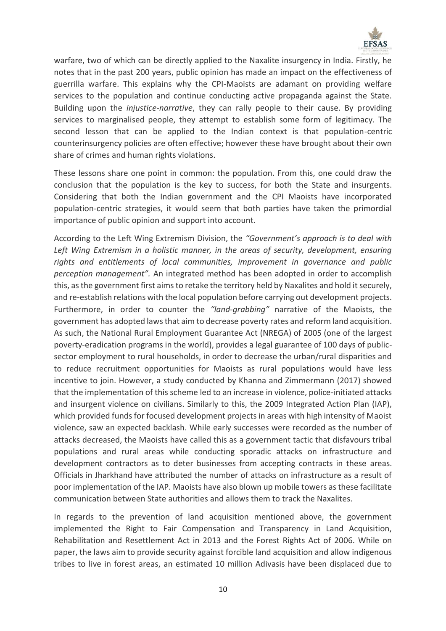

warfare, two of which can be directly applied to the Naxalite insurgency in India. Firstly, he notes that in the past 200 years, public opinion has made an impact on the effectiveness of guerrilla warfare. This explains why the CPI-Maoists are adamant on providing welfare services to the population and continue conducting active propaganda against the State. Building upon the *injustice-narrative*, they can rally people to their cause. By providing services to marginalised people, they attempt to establish some form of legitimacy. The second lesson that can be applied to the Indian context is that population-centric counterinsurgency policies are often effective; however these have brought about their own share of crimes and human rights violations.

These lessons share one point in common: the population. From this, one could draw the conclusion that the population is the key to success, for both the State and insurgents. Considering that both the Indian government and the CPI Maoists have incorporated population-centric strategies, it would seem that both parties have taken the primordial importance of public opinion and support into account.

According to the Left Wing Extremism Division, the *"Government's approach is to deal with*  Left Wing Extremism in a holistic manner, in the areas of security, development, ensuring *rights and entitlements of local communities, improvement in governance and public perception management".* An integrated method has been adopted in order to accomplish this, as the government first aims to retake the territory held by Naxalites and hold it securely, and re-establish relations with the local population before carrying out development projects. Furthermore, in order to counter the *"land-grabbing"* narrative of the Maoists, the government has adopted laws that aim to decrease poverty rates and reform land acquisition. As such, the National Rural Employment Guarantee Act (NREGA) of 2005 (one of the largest poverty-eradication programs in the world), provides a legal guarantee of 100 days of publicsector employment to rural households, in order to decrease the urban/rural disparities and to reduce recruitment opportunities for Maoists as rural populations would have less incentive to join. However, a study conducted by Khanna and Zimmermann (2017) showed that the implementation of this scheme led to an increase in violence, police-initiated attacks and insurgent violence on civilians. Similarly to this, the 2009 Integrated Action Plan (IAP), which provided funds for focused development projects in areas with high intensity of Maoist violence, saw an expected backlash. While early successes were recorded as the number of attacks decreased, the Maoists have called this as a government tactic that disfavours tribal populations and rural areas while conducting sporadic attacks on infrastructure and development contractors as to deter businesses from accepting contracts in these areas. Officials in Jharkhand have attributed the number of attacks on infrastructure as a result of poor implementation of the IAP. Maoists have also blown up mobile towers as these facilitate communication between State authorities and allows them to track the Naxalites.

In regards to the prevention of land acquisition mentioned above, the government implemented the Right to Fair Compensation and Transparency in Land Acquisition, Rehabilitation and Resettlement Act in 2013 and the Forest Rights Act of 2006. While on paper, the laws aim to provide security against forcible land acquisition and allow indigenous tribes to live in forest areas, an estimated 10 million Adivasis have been displaced due to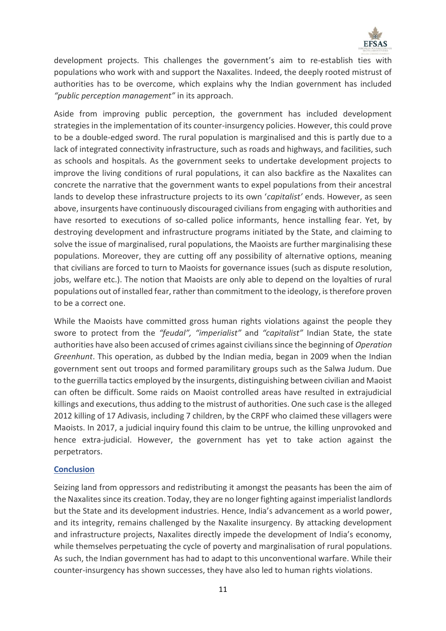

development projects. This challenges the government's aim to re-establish ties with populations who work with and support the Naxalites. Indeed, the deeply rooted mistrust of authorities has to be overcome, which explains why the Indian government has included *"public perception management"* in its approach.

Aside from improving public perception, the government has included development strategies in the implementation of its counter-insurgency policies. However, this could prove to be a double-edged sword. The rural population is marginalised and this is partly due to a lack of integrated connectivity infrastructure, such as roads and highways, and facilities, such as schools and hospitals. As the government seeks to undertake development projects to improve the living conditions of rural populations, it can also backfire as the Naxalites can concrete the narrative that the government wants to expel populations from their ancestral lands to develop these infrastructure projects to its own '*capitalist'* ends. However, as seen above, insurgents have continuously discouraged civilians from engaging with authorities and have resorted to executions of so-called police informants, hence installing fear. Yet, by destroying development and infrastructure programs initiated by the State, and claiming to solve the issue of marginalised, rural populations, the Maoists are further marginalising these populations. Moreover, they are cutting off any possibility of alternative options, meaning that civilians are forced to turn to Maoists for governance issues (such as dispute resolution, jobs, welfare etc.). The notion that Maoists are only able to depend on the loyalties of rural populations out of installed fear, rather than commitment to the ideology, is therefore proven to be a correct one.

While the Maoists have committed gross human rights violations against the people they swore to protect from the *"feudal", "imperialist"* and *"capitalist"* Indian State, the state authorities have also been accused of crimes against civilians since the beginning of *Operation Greenhunt*. This operation, as dubbed by the Indian media, began in 2009 when the Indian government sent out troops and formed paramilitary groups such as the Salwa Judum. Due to the guerrilla tactics employed by the insurgents, distinguishing between civilian and Maoist can often be difficult. Some raids on Maoist controlled areas have resulted in extrajudicial killings and executions, thus adding to the mistrust of authorities. One such case is the alleged 2012 killing of 17 Adivasis, including 7 children, by the CRPF who claimed these villagers were Maoists. In 2017, a judicial inquiry found this claim to be untrue, the killing unprovoked and hence extra-judicial. However, the government has yet to take action against the perpetrators.

## **Conclusion**

Seizing land from oppressors and redistributing it amongst the peasants has been the aim of the Naxalites since its creation. Today, they are no longer fighting against imperialist landlords but the State and its development industries. Hence, India's advancement as a world power, and its integrity, remains challenged by the Naxalite insurgency. By attacking development and infrastructure projects, Naxalites directly impede the development of India's economy, while themselves perpetuating the cycle of poverty and marginalisation of rural populations. As such, the Indian government has had to adapt to this unconventional warfare. While their counter-insurgency has shown successes, they have also led to human rights violations.